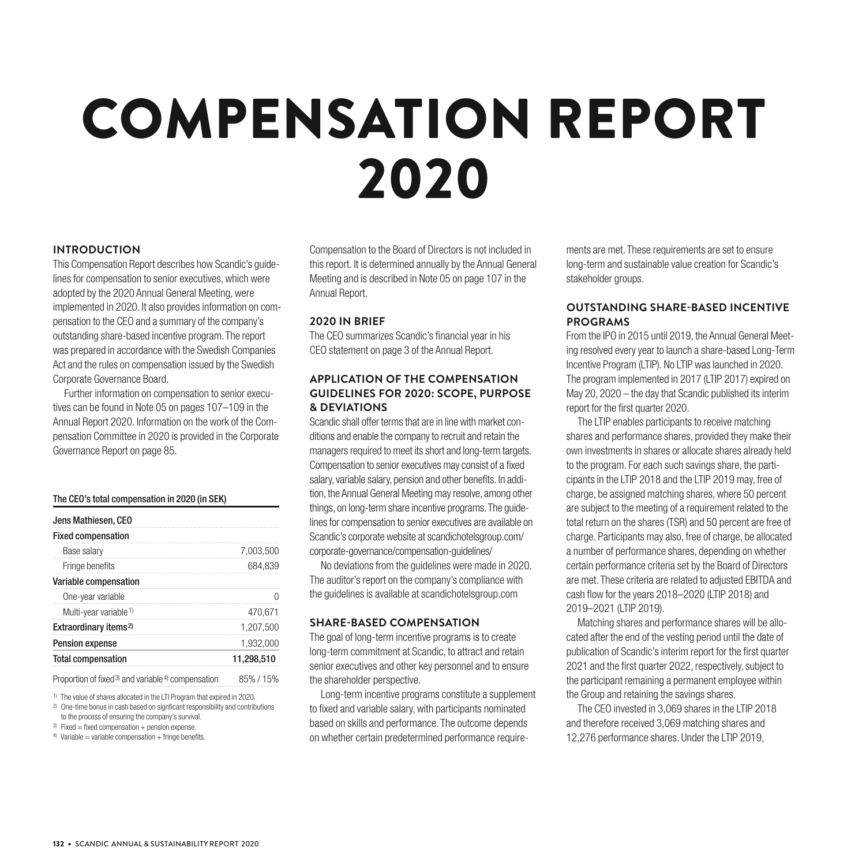# COMPENSATION REPORT 2020

## **INTRODUCTION**

This Compensation Report describes how Scandic's guidelines for compensation to senior executives, which were adopted by the 2020 Annual General Meeting, were implemented in 2020. It also provides information on compensation to the CEO and a summary of the company's outstanding share-based incentive program. The report was prepared in accordance with the Swedish Companies Act and the rules on compensation issued by the Swedish Corporate Governance Board.

Further information on compensation to senior executives can be found in Note 05 on pages 107–109 in the Annual Report 2020. Information on the work of the Compensation Committee in 2020 is provided in the Corporate Governance Report on page 85.

### The CEO's total compensation in 2020 (in SEK)

| Jens Mathiesen, CEO               |            |
|-----------------------------------|------------|
| <b>Fixed compensation</b>         |            |
| Base salary                       | 7.003.500  |
| Fringe benefits                   | 684.839    |
| <b>Variable compensation</b>      |            |
| One-year variable                 |            |
| Multi-year variable <sup>1)</sup> | 470.671    |
| Extraordinary items <sup>2)</sup> | 1.207.500  |
| <b>Pension expense</b>            | 1.932.000  |
| <b>Total compensation</b>         | 11,298,510 |
|                                   |            |

Proportion of fixed<sup>3</sup> and variable<sup>4</sup> compensation 85% / 15%

1) The value of shares allocated in the LTI Program that expired in 2020.

2) One-time bonus in cash based on signficant responsibility and contributions to the process of ensuring the company's survival.

Compensation to the Board of Directors is not included in this report. It is determined annually by the Annual General Meeting and is described in Note 05 on page 107 in the Annual Report.

## **2020 IN BRIEF**

The CEO summarizes Scandic's financial year in his CEO statement on page 3 of the Annual Report.

# **APPLICATION OF THE COMPENSATION GUIDELINES FOR 2020: SCOPE, PURPOSE & DEVIATIONS**

Scandic shall offer terms that are in line with market conditions and enable the company to recruit and retain the managers required to meet its short and long-term targets. Compensation to senior executives may consist of a fixed salary, variable salary, pension and other benefits. In addition, the Annual General Meeting may resolve, among other things, on long-term share incentive programs. The guidelines for compensation to senior executives are available on Scandic's corporate website at scandichotelsgroup.com/ corporate-governance/compensation-guidelines/

No deviations from the guidelines were made in 2020. The auditor's report on the company's compliance with the guidelines is available at scandichotelsgroup.com

### **SHARE-BASED COMPENSATION**

The goal of long-term incentive programs is to create long-term commitment at Scandic, to attract and retain senior executives and other key personnel and to ensure the shareholder perspective.

Long-term incentive programs constitute a supplement to fixed and variable salary, with participants nominated based on skills and performance. The outcome depends on whether certain predetermined performance requirements are met. These requirements are set to ensure long-term and sustainable value creation for Scandic's stakeholder groups.

# **OUTSTANDING SHARE-BASED INCENTIVE PROGRAMS**

From the IPO in 2015 until 2019, the Annual General Meeting resolved every year to launch a share-based Long-Term Incentive Program (LTIP). No LTIP was launched in 2020. The program implemented in 2017 (LTIP 2017) expired on May 20, 2020 – the day that Scandic published its interim report for the first quarter 2020.

The LTIP enables participants to receive matching shares and performance shares, provided they make their own investments in shares or allocate shares already held to the program. For each such savings share, the participants in the LTIP 2018 and the LTIP 2019 may, free of charge, be assigned matching shares, where 50 percent are subject to the meeting of a requirement related to the total return on the shares (TSR) and 50 percent are free of charge. Participants may also, free of charge, be allocated a number of performance shares, depending on whether certain performance criteria set by the Board of Directors are met. These criteria are related to adjusted EBITDA and cash flow for the years 2018–2020 (LTIP 2018) and 2019–2021 (LTIP 2019).

Matching shares and performance shares will be allocated after the end of the vesting period until the date of publication of Scandic's interim report for the first quarter 2021 and the first quarter 2022, respectively, subject to the participant remaining a permanent employee within the Group and retaining the savings shares.

The CEO invested in 3,069 shares in the LTIP 2018 and therefore received 3,069 matching shares and 12,276 performance shares. Under the LTIP 2019,

 $3)$  Fixed = fixed compensation + pension expense.

 $4)$  Variable = variable compensation + fringe benefits.